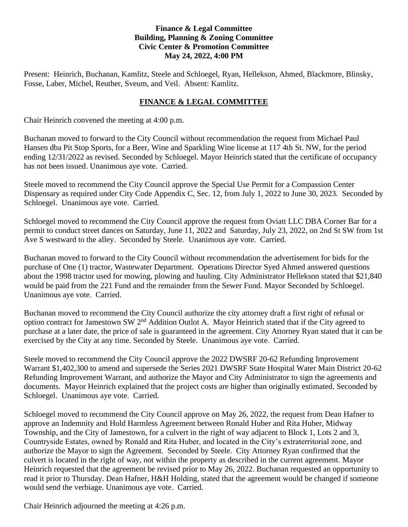## **Finance & Legal Committee Building, Planning & Zoning Committee Civic Center & Promotion Committee May 24, 2022, 4:00 PM**

Present: Heinrich, Buchanan, Kamlitz, Steele and Schloegel, Ryan, Hellekson, Ahmed, Blackmore, Blinsky, Fosse, Laber, Michel, Reuther, Sveum, and Veil. Absent: Kamlitz.

## **FINANCE & LEGAL COMMITTEE**

Chair Heinrich convened the meeting at 4:00 p.m.

Buchanan moved to forward to the City Council without recommendation the request from Michael Paul Hansen dba Pit Stop Sports, for a Beer, Wine and Sparkling Wine license at 117 4th St. NW, for the period ending 12/31/2022 as revised. Seconded by Schloegel. Mayor Heinrich stated that the certificate of occupancy has not been issued. Unanimous aye vote. Carried.

Steele moved to recommend the City Council approve the Special Use Permit for a Compassion Center Dispensary as required under City Code Appendix C, Sec. 12, from July 1, 2022 to June 30, 2023. Seconded by Schloegel. Unanimous aye vote. Carried.

Schloegel moved to recommend the City Council approve the request from Oviatt LLC DBA Corner Bar for a permit to conduct street dances on Saturday, June 11, 2022 and Saturday, July 23, 2022, on 2nd St SW from 1st Ave S westward to the alley. Seconded by Steele. Unanimous aye vote. Carried.

Buchanan moved to forward to the City Council without recommendation the advertisement for bids for the purchase of One (1) tractor, Wastewater Department. Operations Director Syed Ahmed answered questions about the 1998 tractor used for mowing, plowing and hauling. City Administrator Hellekson stated that \$21,840 would be paid from the 221 Fund and the remainder from the Sewer Fund. Mayor Seconded by Schloegel. Unanimous aye vote. Carried.

Buchanan moved to recommend the City Council authorize the city attorney draft a first right of refusal or option contract for Jamestown SW 2nd Addition Outlot A. Mayor Heinrich stated that if the City agreed to purchase at a later date, the price of sale is guaranteed in the agreement. City Attorney Ryan stated that it can be exercised by the City at any time. Seconded by Steele. Unanimous aye vote. Carried.

Steele moved to recommend the City Council approve the 2022 DWSRF 20-62 Refunding Improvement Warrant \$1,402,300 to amend and supersede the Series 2021 DWSRF State Hospital Water Main District 20-62 Refunding Improvement Warrant, and authorize the Mayor and City Administrator to sign the agreements and documents. Mayor Heinrich explained that the project costs are higher than originally estimated. Seconded by Schloegel. Unanimous aye vote. Carried.

Schloegel moved to recommend the City Council approve on May 26, 2022, the request from Dean Hafner to approve an Indemnity and Hold Harmless Agreement between Ronald Huber and Rita Huber, Midway Township, and the City of Jamestown, for a culvert in the right of way adjacent to Block 1, Lots 2 and 3, Countryside Estates, owned by Ronald and Rita Huber, and located in the City's extraterritorial zone, and authorize the Mayor to sign the Agreement. Seconded by Steele. City Attorney Ryan confirmed that the culvert is located in the right of way, not within the property as described in the current agreement. Mayor Heinrich requested that the agreement be revised prior to May 26, 2022. Buchanan requested an opportunity to read it prior to Thursday. Dean Hafner, H&H Holding, stated that the agreement would be changed if someone would send the verbiage. Unanimous aye vote. Carried.

Chair Heinrich adjourned the meeting at 4:26 p.m.